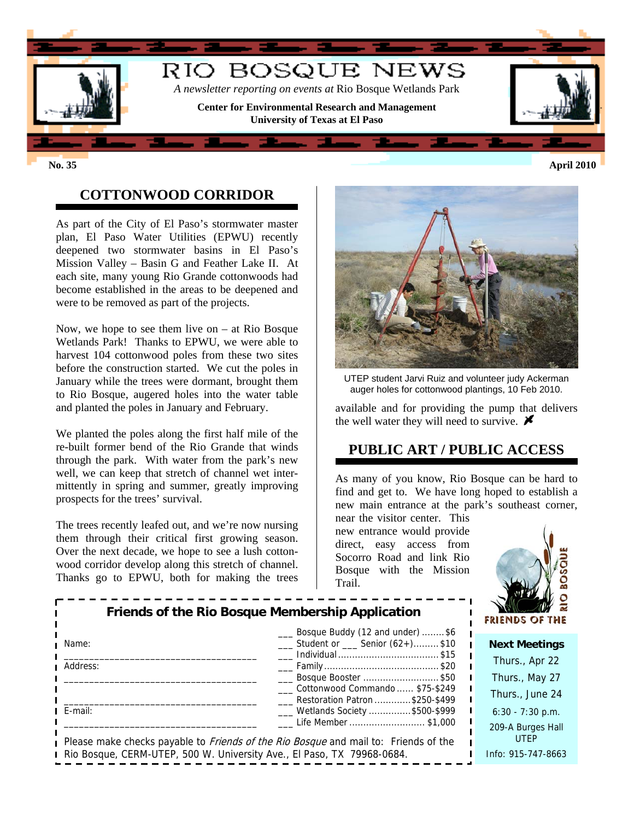

## **COTTONWOOD CORRIDOR**

As part of the City of El Paso's stormwater master plan, El Paso Water Utilities (EPWU) recently deepened two stormwater basins in El Paso's Mission Valley – Basin G and Feather Lake II. At each site, many young Rio Grande cottonwoods had become established in the areas to be deepened and were to be removed as part of the projects.

Now, we hope to see them live on  $-$  at Rio Bosque Wetlands Park! Thanks to EPWU, we were able to harvest 104 cottonwood poles from these two sites before the construction started. We cut the poles in January while the trees were dormant, brought them to Rio Bosque, augered holes into the water table and planted the poles in January and February.

We planted the poles along the first half mile of the re-built former bend of the Rio Grande that winds through the park. With water from the park's new well, we can keep that stretch of channel wet intermittently in spring and summer, greatly improving prospects for the trees' survival.

The trees recently leafed out, and we're now nursing them through their critical first growing season. Over the next decade, we hope to see a lush cottonwood corridor develop along this stretch of channel. Thanks go to EPWU, both for making the trees



UTEP student Jarvi Ruiz and volunteer judy Ackerman auger holes for cottonwood plantings, 10 Feb 2010.

available and for providing the pump that delivers the well water they will need to survive.  $\blacktriangleright$ 

## **PUBLIC ART / PUBLIC ACCESS**

As many of you know, Rio Bosque can be hard to find and get to. We have long hoped to establish a new main entrance at the park's southeast corner,

near the visitor center. This new entrance would provide direct, easy access from Socorro Road and link Rio Bosque with the Mission Trail.



| Friends of the Rio Bosque Membership Application                       |                                                                                                                   | w s<br><b>FRIENDS OF THE</b>     |
|------------------------------------------------------------------------|-------------------------------------------------------------------------------------------------------------------|----------------------------------|
| Name:                                                                  | __ Bosque Buddy (12 and under) \$6<br>$\frac{1}{2}$ Student or $\frac{1}{2}$ Senior (62+)\$10                     | <b>Next Meetings</b>             |
| Address:                                                               |                                                                                                                   | Thurs., Apr 22                   |
|                                                                        | Bosque Booster \$50                                                                                               | Thurs., May 27                   |
|                                                                        | Cottonwood Commando  \$75-\$249<br>Restoration Patron \$250-\$499                                                 | Thurs., June 24                  |
| E-mail:                                                                | ___ Wetlands Society \$500-\$999                                                                                  | $6:30 - 7:30$ p.m.               |
|                                                                        | Life Member \$1,000<br>Please make checks payable to <i>Friends of the Rio Bosque</i> and mail to: Friends of the | 209-A Burges Hall<br><b>UTEP</b> |
| Rio Bosque, CERM-UTEP, 500 W. University Ave., El Paso, TX 79968-0684. |                                                                                                                   | Info: 915-747-8663               |

**No. 35 April 2010**